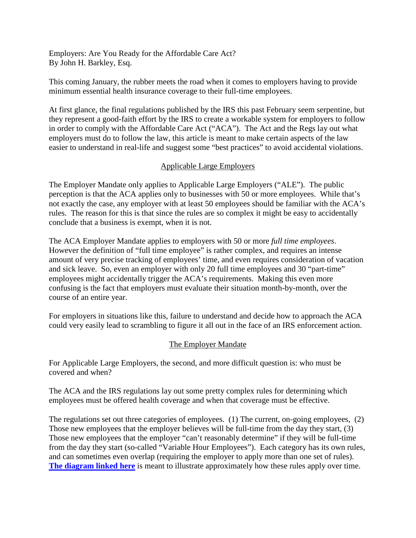Employers: Are You Ready for the Affordable Care Act? By John H. Barkley, Esq.

This coming January, the rubber meets the road when it comes to employers having to provide minimum essential health insurance coverage to their full-time employees.

At first glance, the final regulations published by the IRS this past February seem serpentine, but they represent a good-faith effort by the IRS to create a workable system for employers to follow in order to comply with the Affordable Care Act ("ACA"). The Act and the Regs lay out what employers must do to follow the law, this article is meant to make certain aspects of the law easier to understand in real-life and suggest some "best practices" to avoid accidental violations.

## Applicable Large Employers

The Employer Mandate only applies to Applicable Large Employers ("ALE"). The public perception is that the ACA applies only to businesses with 50 or more employees. While that's not exactly the case, any employer with at least 50 employees should be familiar with the ACA's rules. The reason for this is that since the rules are so complex it might be easy to accidentally conclude that a business is exempt, when it is not.

The ACA Employer Mandate applies to employers with 50 or more *full time employees*. However the definition of "full time employee" is rather complex, and requires an intense amount of very precise tracking of employees' time, and even requires consideration of vacation and sick leave. So, even an employer with only 20 full time employees and 30 "part-time" employees might accidentally trigger the ACA's requirements. Making this even more confusing is the fact that employers must evaluate their situation month-by-month, over the course of an entire year.

For employers in situations like this, failure to understand and decide how to approach the ACA could very easily lead to scrambling to figure it all out in the face of an IRS enforcement action.

## The Employer Mandate

For Applicable Large Employers, the second, and more difficult question is: who must be covered and when?

The ACA and the IRS regulations lay out some pretty complex rules for determining which employees must be offered health coverage and when that coverage must be effective.

The regulations set out three categories of employees. (1) The current, on-going employees, (2) Those new employees that the employer believes will be full-time from the day they start, (3) Those new employees that the employer "can't reasonably determine" if they will be full-time from the day they start (so-called "Variable Hour Employees"). Each category has its own rules, and can sometimes even overlap (requiring the employer to apply more than one set of rules). **The diagram linked here** is meant to illustrate approximately how these rules apply over time.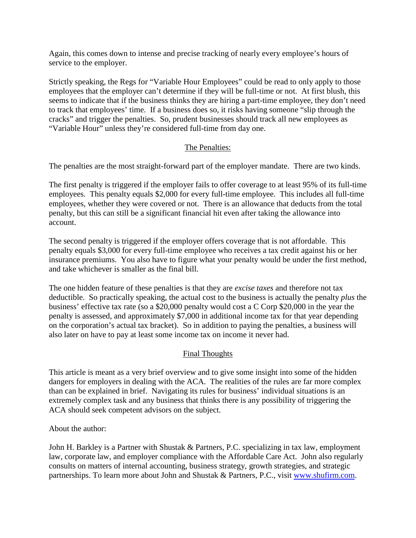Again, this comes down to intense and precise tracking of nearly every employee's hours of service to the employer.

Strictly speaking, the Regs for "Variable Hour Employees" could be read to only apply to those employees that the employer can't determine if they will be full-time or not. At first blush, this seems to indicate that if the business thinks they are hiring a part-time employee, they don't need to track that employees' time. If a business does so, it risks having someone "slip through the cracks" and trigger the penalties. So, prudent businesses should track all new employees as "Variable Hour" unless they're considered full-time from day one.

## The Penalties:

The penalties are the most straight-forward part of the employer mandate. There are two kinds.

The first penalty is triggered if the employer fails to offer coverage to at least 95% of its full-time employees. This penalty equals \$2,000 for every full-time employee. This includes all full-time employees, whether they were covered or not. There is an allowance that deducts from the total penalty, but this can still be a significant financial hit even after taking the allowance into account.

The second penalty is triggered if the employer offers coverage that is not affordable. This penalty equals \$3,000 for every full-time employee who receives a tax credit against his or her insurance premiums. You also have to figure what your penalty would be under the first method, and take whichever is smaller as the final bill.

The one hidden feature of these penalties is that they are *excise taxes* and therefore not tax deductible. So practically speaking, the actual cost to the business is actually the penalty *plus* the business' effective tax rate (so a \$20,000 penalty would cost a C Corp \$20,000 in the year the penalty is assessed, and approximately \$7,000 in additional income tax for that year depending on the corporation's actual tax bracket). So in addition to paying the penalties, a business will also later on have to pay at least some income tax on income it never had.

## Final Thoughts

This article is meant as a very brief overview and to give some insight into some of the hidden dangers for employers in dealing with the ACA. The realities of the rules are far more complex than can be explained in brief. Navigating its rules for business' individual situations is an extremely complex task and any business that thinks there is any possibility of triggering the ACA should seek competent advisors on the subject.

About the author:

John H. Barkley is a Partner with Shustak & Partners, P.C. specializing in tax law, employment law, corporate law, and employer compliance with the Affordable Care Act. John also regularly consults on matters of internal accounting, business strategy, growth strategies, and strategic partnerships. To learn more about John and Shustak & Partners, P.C., visit www.shufirm.com.